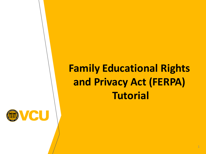## **Family Educational Rights and Privacy Act (FERPA) Tutorial**

1

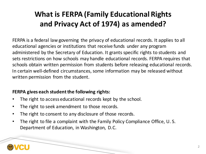### **What is FERPA (Family Educational Rights and Privacy Act of 1974) as amended?**

 FERPA is a federal law governing the privacy of educational records. It applies to all educational agencies or institutions that receive funds under any program administered by the Secretary of Education. It grants specific rights to students and sets restrictions on how schools may handle educational records. FERPA requires that schools obtain written permission from students before releasing educational records. In certain well-defined circumstances, some information may be released without written permission from the student.

#### **FERPA gives each studentthe following rights:**

- The right to access educational records kept by the school.
- The right to seek amendment to those records.
- The right to consent to any disclosure of those records.
- • The right to file a complaint with the Family Policy Compliance Office, U. S. Department of Education, in Washington, D.C.

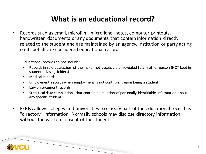#### **What is an educational record?**

 • Records such as email, microfilm, microfiche, notes, computer printouts, handwritten documents or any documents that contain information directly related to the student and are maintained by an agency, institution or party acting on its behalf are considered educational records.

Educational records do not include:

- Records in sole possession of the maker not accessible or revealed to any other person (NOT kept in student advising folders)
- Medical records
- Employment records when employment is not contingent upon being a student
- Law enforcement records
- • Statistical data compilations that contain no mention of personally identifiable information about any specific student
- • FERPA allows colleges and universities to classify part of the educational record as "directory" information. Normally schools may disclose directory information without the written consent of the student.

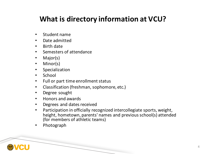#### **What is directory information at VCU?**

- Student name
- Date admitted
- Birth date
- Semesters of attendance
- Major(s)
- Minor(s)
- Specialization
- School
- Full or part time enrollment status
- Classification (freshman, sophomore, etc.)
- Degree sought
- Honors and awards
- Degrees and dates received
- • Participation in officially recognized intercollegiate sports, weight, height, hometown, parents' names and previous school(s) attended (for members of athletic teams)
- Photograph

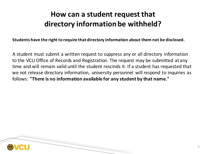#### **How can a student request that directory information be withheld?**

 **Students have the right to require that directory information about them not be disclosed.**

 A student must submit a written request to suppress any or all directory information to the VCU Office of Records and Registration. The request may be submitted at any time and will remain valid until the student rescinds it. If a student has requested that we not release directory information, university personnel will respond to inquiries as  follows: **"There is no information available for any student by that name."**

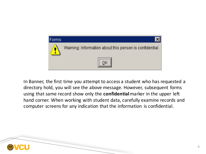

 In Banner, the first time you attempt to access a student who has requested a directory hold, you will see the above message. However, subsequent forms using that same record show only the **confidential**marker in the upper left hand corner. When working with student data, carefully examine records and computer screens for any indication that the information is confidential.

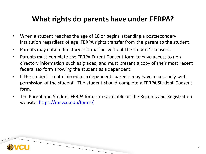#### **What rights do parents have under FERPA?**

- • When a student reaches the age of 18 or begins attending a postsecondary institution regardless of age, FERPA rights transfer from the parent to the student.
- Parents may obtain directory information without the student's consent.
- • Parents must complete the FERPA Parent Consent form to have accessto non- directory information such as grades, and must present a copy of their most recent federal tax form showing the student as a dependent.
- • If the student is not claimed as a dependent, parents may have access only with permission of the student. The student should complete a FERPA Student Consent form.
- • The Parent and Student FERPA forms are available on the Records and Registration website: <https://rar.vcu.edu/forms/>

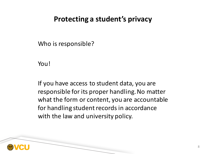#### **Protecting a student's privacy**

Who is responsible?

You!

 If you have access to student data, you are responsible for its proper handling.No matter what the form or content, you are accountable for handling student records in accordance with the law and university policy.

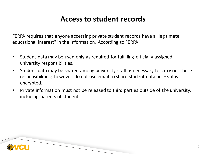#### **Access to student records**

 FERPA requires that anyone accessing private student records have a "legitimate educational interest" in the information. According to FERPA:

- • Student data may be used only as required for fulfilling officially assigned university responsibilities.
- • Student data may be shared among university staff as necessary to carry out those responsibilities; however, do not use email to share student data unless it is encrypted.
- • Private information must not be released to third parties outside of the university, including parents of students.

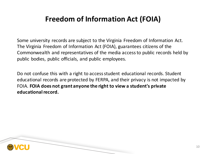#### **Freedom of Information Act (FOIA)**

 Some university records are subject to the Virginia Freedom of Information Act. The Virginia Freedom of Information Act (FOIA), guarantees citizens of the Commonwealth and representatives of the media accessto public records held by public bodies, public officials, and public employees.

Do not confuse this with a right to access student educational records. Student educational records are protected by FERPA, and their privacy is not impacted by  FOIA. **FOIA does not grant anyone the right to view a student's private educationalrecord.**

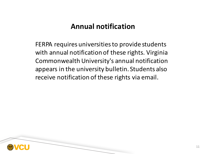#### **Annual notification**

FERPA requires universities to provide students with annual notification of these rights. Virginia Commonwealth University's annual notification appears in the university bulletin. Students also receive notification of these rights via email.

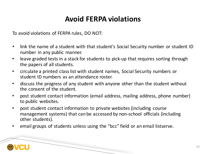#### **Avoid FERPA violations**

To avoid violations of FERPA rules, DO NOT:

- • link the name of a student with that student's Social Security number or student ID number in any public manner.
- leave graded tests in a stack for students to pick-up that requires sorting through the papers of all students.
- circulate a printed class list with student names, Social Security numbers or student ID numbers as an attendance roster.
- • discuss the progress of any student with anyone other than the student without the consent of the student.
- • post student contact information (email address, mailing address, phone number) to public websites.
- • post student contact information to private websites (including course management systems) that can be accessed by non-school officials (including other students).
- email groups of students unless using the "bcc" field or an email listserve.

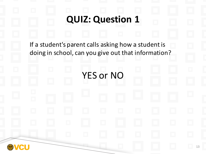# If a student's parent calls asking how a student is doing in school, can you give out that information? **QUIZ: Question 1** YES or NO 13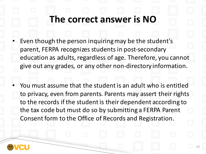## **The correct answer is NO**

- • Even though the person inquiringmay be the student's parent, FERPA recognizes students in post-secondary education as adults, regardless of age. Therefore, you cannot give out any grades, or any other non-directory information.
- • You must assume that the studentis an adult who is entitled to privacy, even from parents. Parents may assert their rights to the records if the student is their dependent according to the tax code but must do so by submitting a FERPA Parent Consent form to the Office of Records and Registration.

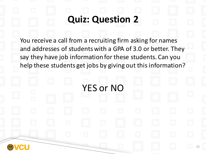## **Quiz: Question 2**

 You receive a call from a recruiting firm asking for names and addresses of students with a GPA of 3.0 or better. They say they have job information for these students. Can you help these students get jobs by giving out this information?

YES or NO

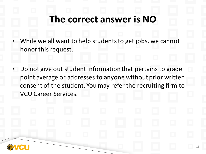## **The correct answer is NO**

- • While we all want to help studentsto get jobs, we cannot honor this request.
- Do not give out student information that pertains to grade point average or addresses to anyone without prior written consent of the student. You may refer the recruiting firm to VCU Career Services.

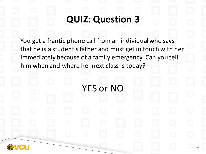## **QUIZ: Question 3**

 You get a frantic phone call from an individual who says that he is a student's father and must get in touch with her immediately because of a family emergency. Can you tell him when and where her next class is today?

YES or NO

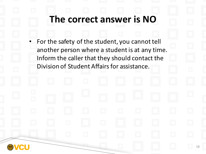## **The correct answer is NO**

• For the safety of the student, you cannot tell another person where a student is at any time. Inform the caller that they should contact the Division of Student Affairs for assistance.

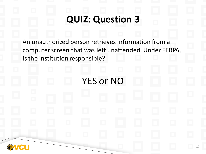## **QUIZ: Question 3**

An unauthorized person retrieves information from a computer screen that was left unattended. Under FERPA, is the institution responsible?

YES or NO

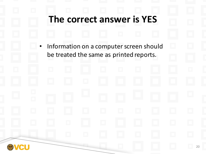## **The correct answer is YES**

• Information on a computer screen should be treated the same as printed reports.